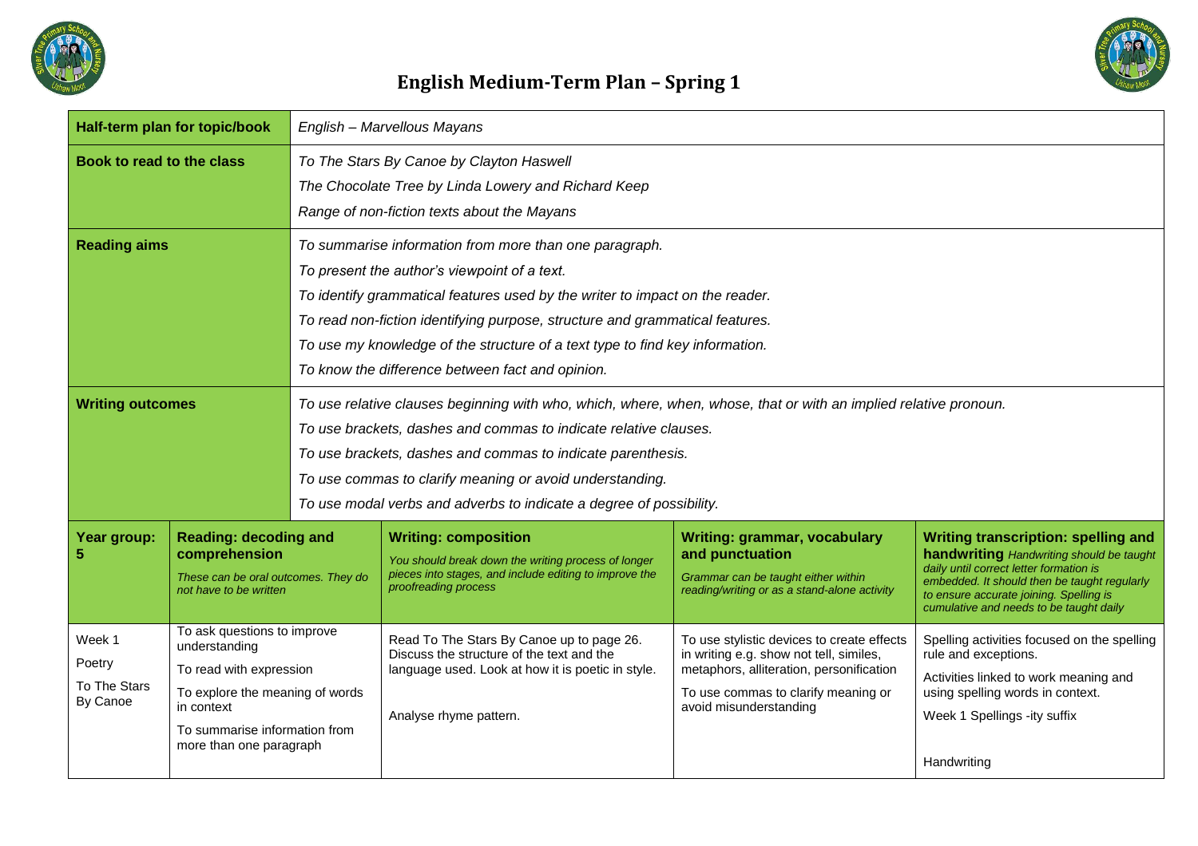

## **English Medium-Term Plan – Spring 1**

| Half-term plan for topic/book                |                                                                                                                                                                                      | English - Marvellous Mayans                                                                                                                                                                                                                                                                                                                                                                                |                                                                                                                                                                       |                                                                                                                                                                                                    |                                                                                                                                                                                                                                                                         |  |
|----------------------------------------------|--------------------------------------------------------------------------------------------------------------------------------------------------------------------------------------|------------------------------------------------------------------------------------------------------------------------------------------------------------------------------------------------------------------------------------------------------------------------------------------------------------------------------------------------------------------------------------------------------------|-----------------------------------------------------------------------------------------------------------------------------------------------------------------------|----------------------------------------------------------------------------------------------------------------------------------------------------------------------------------------------------|-------------------------------------------------------------------------------------------------------------------------------------------------------------------------------------------------------------------------------------------------------------------------|--|
| Book to read to the class                    |                                                                                                                                                                                      | To The Stars By Canoe by Clayton Haswell<br>The Chocolate Tree by Linda Lowery and Richard Keep<br>Range of non-fiction texts about the Mayans                                                                                                                                                                                                                                                             |                                                                                                                                                                       |                                                                                                                                                                                                    |                                                                                                                                                                                                                                                                         |  |
| <b>Reading aims</b>                          |                                                                                                                                                                                      | To summarise information from more than one paragraph.<br>To present the author's viewpoint of a text.<br>To identify grammatical features used by the writer to impact on the reader.<br>To read non-fiction identifying purpose, structure and grammatical features.<br>To use my knowledge of the structure of a text type to find key information.<br>To know the difference between fact and opinion. |                                                                                                                                                                       |                                                                                                                                                                                                    |                                                                                                                                                                                                                                                                         |  |
| <b>Writing outcomes</b>                      |                                                                                                                                                                                      | To use relative clauses beginning with who, which, where, when, whose, that or with an implied relative pronoun.<br>To use brackets, dashes and commas to indicate relative clauses.<br>To use brackets, dashes and commas to indicate parenthesis.<br>To use commas to clarify meaning or avoid understanding.<br>To use modal verbs and adverbs to indicate a degree of possibility.                     |                                                                                                                                                                       |                                                                                                                                                                                                    |                                                                                                                                                                                                                                                                         |  |
| Year group:                                  | <b>Reading: decoding and</b><br>comprehension<br>These can be oral outcomes. They do<br>not have to be written                                                                       |                                                                                                                                                                                                                                                                                                                                                                                                            | <b>Writing: composition</b><br>You should break down the writing process of longer<br>pieces into stages, and include editing to improve the<br>proofreading process  | Writing: grammar, vocabulary<br>and punctuation<br>Grammar can be taught either within<br>reading/writing or as a stand-alone activity                                                             | <b>Writing transcription: spelling and</b><br>handwriting Handwriting should be taught<br>daily until correct letter formation is<br>embedded. It should then be taught regularly<br>to ensure accurate joining. Spelling is<br>cumulative and needs to be taught daily |  |
| Week 1<br>Poetry<br>To The Stars<br>By Canoe | To ask questions to improve<br>understanding<br>To read with expression<br>To explore the meaning of words<br>in context<br>To summarise information from<br>more than one paragraph |                                                                                                                                                                                                                                                                                                                                                                                                            | Read To The Stars By Canoe up to page 26.<br>Discuss the structure of the text and the<br>language used. Look at how it is poetic in style.<br>Analyse rhyme pattern. | To use stylistic devices to create effects<br>in writing e.g. show not tell, similes,<br>metaphors, alliteration, personification<br>To use commas to clarify meaning or<br>avoid misunderstanding | Spelling activities focused on the spelling<br>rule and exceptions.<br>Activities linked to work meaning and<br>using spelling words in context.<br>Week 1 Spellings -ity suffix<br>Handwriting                                                                         |  |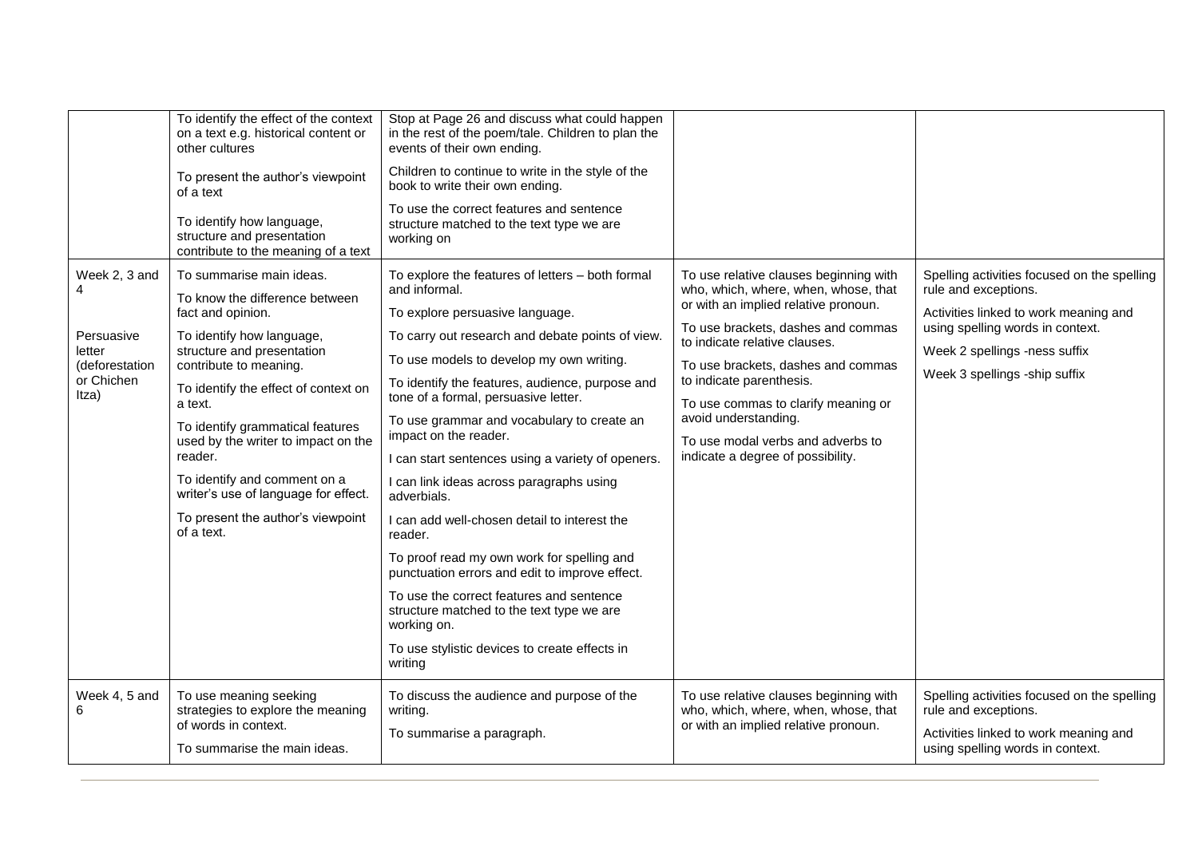|                                                                                | To identify the effect of the context<br>on a text e.g. historical content or<br>other cultures<br>To present the author's viewpoint<br>of a text<br>To identify how language,<br>structure and presentation<br>contribute to the meaning of a text                                                                                                                                                                                      | Stop at Page 26 and discuss what could happen<br>in the rest of the poem/tale. Children to plan the<br>events of their own ending.<br>Children to continue to write in the style of the<br>book to write their own ending.<br>To use the correct features and sentence<br>structure matched to the text type we are<br>working on                                                                                                                                                                                                                                                                                                                                                                                                                                                                                     |                                                                                                                                                                                                                                                                                                                                                                                                          |                                                                                                                                                                                                                    |
|--------------------------------------------------------------------------------|------------------------------------------------------------------------------------------------------------------------------------------------------------------------------------------------------------------------------------------------------------------------------------------------------------------------------------------------------------------------------------------------------------------------------------------|-----------------------------------------------------------------------------------------------------------------------------------------------------------------------------------------------------------------------------------------------------------------------------------------------------------------------------------------------------------------------------------------------------------------------------------------------------------------------------------------------------------------------------------------------------------------------------------------------------------------------------------------------------------------------------------------------------------------------------------------------------------------------------------------------------------------------|----------------------------------------------------------------------------------------------------------------------------------------------------------------------------------------------------------------------------------------------------------------------------------------------------------------------------------------------------------------------------------------------------------|--------------------------------------------------------------------------------------------------------------------------------------------------------------------------------------------------------------------|
| Week 2, 3 and<br>Persuasive<br>letter<br>(deforestation<br>or Chichen<br>Itza) | To summarise main ideas.<br>To know the difference between<br>fact and opinion.<br>To identify how language,<br>structure and presentation<br>contribute to meaning.<br>To identify the effect of context on<br>a text.<br>To identify grammatical features<br>used by the writer to impact on the<br>reader.<br>To identify and comment on a<br>writer's use of language for effect.<br>To present the author's viewpoint<br>of a text. | To explore the features of letters - both formal<br>and informal.<br>To explore persuasive language.<br>To carry out research and debate points of view.<br>To use models to develop my own writing.<br>To identify the features, audience, purpose and<br>tone of a formal, persuasive letter.<br>To use grammar and vocabulary to create an<br>impact on the reader.<br>I can start sentences using a variety of openers.<br>I can link ideas across paragraphs using<br>adverbials.<br>I can add well-chosen detail to interest the<br>reader.<br>To proof read my own work for spelling and<br>punctuation errors and edit to improve effect.<br>To use the correct features and sentence<br>structure matched to the text type we are<br>working on.<br>To use stylistic devices to create effects in<br>writing | To use relative clauses beginning with<br>who, which, where, when, whose, that<br>or with an implied relative pronoun.<br>To use brackets, dashes and commas<br>to indicate relative clauses.<br>To use brackets, dashes and commas<br>to indicate parenthesis.<br>To use commas to clarify meaning or<br>avoid understanding.<br>To use modal verbs and adverbs to<br>indicate a degree of possibility. | Spelling activities focused on the spelling<br>rule and exceptions.<br>Activities linked to work meaning and<br>using spelling words in context.<br>Week 2 spellings -ness suffix<br>Week 3 spellings -ship suffix |
| Week 4, 5 and                                                                  | To use meaning seeking<br>strategies to explore the meaning<br>of words in context.<br>To summarise the main ideas.                                                                                                                                                                                                                                                                                                                      | To discuss the audience and purpose of the<br>writing.<br>To summarise a paragraph.                                                                                                                                                                                                                                                                                                                                                                                                                                                                                                                                                                                                                                                                                                                                   | To use relative clauses beginning with<br>who, which, where, when, whose, that<br>or with an implied relative pronoun.                                                                                                                                                                                                                                                                                   | Spelling activities focused on the spelling<br>rule and exceptions.<br>Activities linked to work meaning and<br>using spelling words in context.                                                                   |